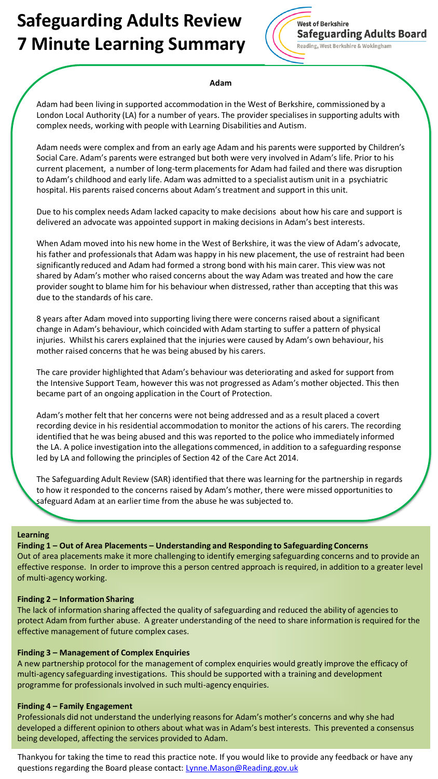# **Safeguarding Adults Review 7 Minute Learning Summary**



### **Adam**

Adam had been living in supported accommodation in the West of Berkshire, commissioned by a London Local Authority (LA) for a number of years. The provider specialises in supporting adults with complex needs, working with people with Learning Disabilities and Autism.

Adam needs were complex and from an early age Adam and his parents were supported by Children's Social Care. Adam's parents were estranged but both were very involved in Adam's life. Prior to his current placement, a number of long-term placements for Adam had failed and there was disruption to Adam's childhood and early life. Adam was admitted to a specialist autism unit in a psychiatric hospital. His parents raised concerns about Adam's treatment and support in this unit.

Due to his complex needs Adam lacked capacity to make decisions about how his care and support is delivered an advocate was appointed support in making decisions in Adam's best interests.

When Adam moved into his new home in the West of Berkshire, it was the view of Adam's advocate, his father and professionals that Adam was happy in his new placement, the use of restraint had been significantly reduced and Adam had formed a strong bond with his main carer. This view was not shared by Adam's mother who raised concerns about the way Adam was treated and how the care provider sought to blame him for his behaviour when distressed, rather than accepting that this was due to the standards of his care.

8 years after Adam moved into supporting living there were concerns raised about a significant change in Adam's behaviour, which coincided with Adam starting to suffer a pattern of physical injuries. Whilst his carers explained that the injuries were caused by Adam's own behaviour, his mother raised concerns that he was being abused by his carers.

The care provider highlighted that Adam's behaviour was deteriorating and asked for support from the Intensive Support Team, however this was not progressed as Adam's mother objected. This then became part of an ongoing application in the Court of Protection.

Adam's mother felt that her concerns were not being addressed and as a result placed a covert recording device in his residential accommodation to monitor the actions of his carers. The recording identified that he was being abused and this was reported to the police who immediately informed the LA. A police investigation into the allegations commenced, in addition to a safeguarding response led by LA and following the principles of Section 42 of the Care Act 2014.

The Safeguarding Adult Review (SAR) identified that there was learning for the partnership in regards to how it responded to the concerns raised by Adam's mother, there were missed opportunities to safeguard Adam at an earlier time from the abuse he was subjected to.

### **Learning**

### **Finding 1 – Out of Area Placements – Understanding and Responding to Safeguarding Concerns**

Out of area placements make it more challenging to identify emerging safeguarding concerns and to provide an effective response. In order to improve this a person centred approach is required, in addition to a greater level of multi-agency working.

### **Finding 2 – Information Sharing**

The lack of information sharing affected the quality of safeguarding and reduced the ability of agencies to protect Adam from further abuse. A greater understanding of the need to share information is required for the effective management of future complex cases.

### **Finding 3 – Management of Complex Enquiries**

A new partnership protocol for the management of complex enquiries would greatly improve the efficacy of multi-agency safeguarding investigations. This should be supported with a training and development programme for professionals involved in such multi-agency enquiries.

### **Finding 4 – Family Engagement**

Professionals did not understand the underlying reasons for Adam's mother's concerns and why she had developed a different opinion to others about what was in Adam's best interests. This prevented a consensus being developed, affecting the services provided to Adam.

Thankyou for taking the time to read this practice note. If you would like to provide any feedback or have any questions regarding the Board please contact: [Lynne.Mason@Reading.gov.uk](mailto:Lynne.Mason@Reading.gov.uk)